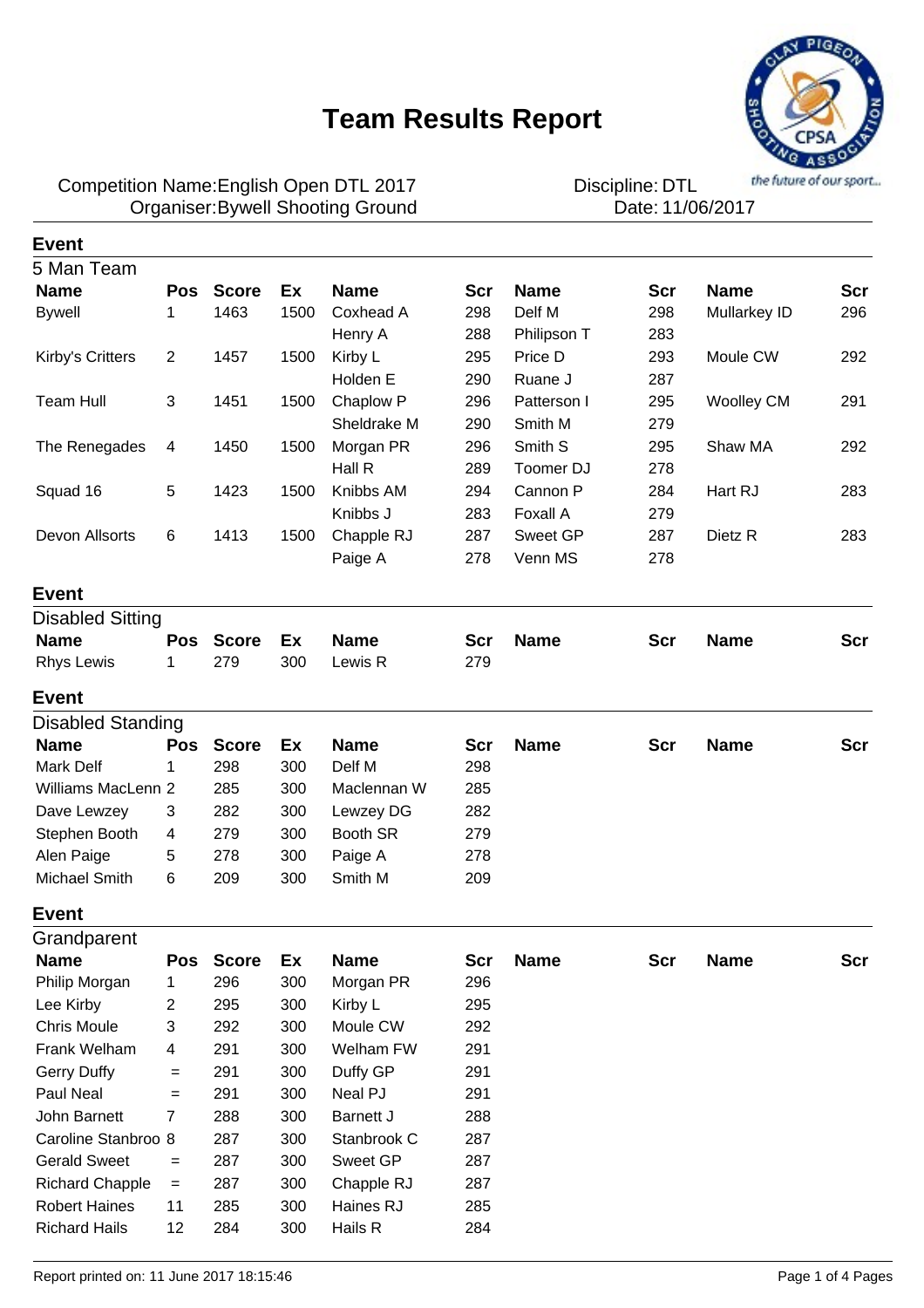

### Competition Name:English Open DTL 2017 **Discipline**: DTL Organiser:Bywell Shooting Ground **1200 COV COVER 11/06/2017**

**Event**

| 5 Man Team               |                |              |      |             |            |             |            |                   |            |
|--------------------------|----------------|--------------|------|-------------|------------|-------------|------------|-------------------|------------|
| <b>Name</b>              | <b>Pos</b>     | <b>Score</b> | Ex   | <b>Name</b> | <b>Scr</b> | <b>Name</b> | Scr        | <b>Name</b>       | <b>Scr</b> |
| <b>Bywell</b>            | 1              | 1463         | 1500 | Coxhead A   | 298        | Delf M      | 298        | Mullarkey ID      | 296        |
|                          |                |              |      | Henry A     | 288        | Philipson T | 283        |                   |            |
| Kirby's Critters         | $\overline{2}$ | 1457         | 1500 | Kirby L     | 295        | Price D     | 293        | Moule CW          | 292        |
|                          |                |              |      | Holden E    | 290        | Ruane J     | 287        |                   |            |
| <b>Team Hull</b>         | $\sqrt{3}$     | 1451         | 1500 | Chaplow P   | 296        | Patterson I | 295        | <b>Woolley CM</b> | 291        |
|                          |                |              |      | Sheldrake M | 290        | Smith M     | 279        |                   |            |
| The Renegades            | 4              | 1450         | 1500 | Morgan PR   | 296        | Smith S     | 295        | Shaw MA           | 292        |
|                          |                |              |      | Hall R      | 289        | Toomer DJ   | 278        |                   |            |
| Squad 16                 | 5              | 1423         | 1500 | Knibbs AM   | 294        | Cannon P    | 284        | Hart RJ           | 283        |
|                          |                |              |      | Knibbs J    | 283        | Foxall A    | 279        |                   |            |
| Devon Allsorts           | 6              | 1413         | 1500 | Chapple RJ  | 287        | Sweet GP    | 287        | Dietz R           | 283        |
|                          |                |              |      | Paige A     | 278        | Venn MS     | 278        |                   |            |
| <b>Event</b>             |                |              |      |             |            |             |            |                   |            |
| <b>Disabled Sitting</b>  |                |              |      |             |            |             |            |                   |            |
| <b>Name</b>              | <b>Pos</b>     | <b>Score</b> | Ex   | <b>Name</b> | <b>Scr</b> | <b>Name</b> | <b>Scr</b> | <b>Name</b>       | Scr        |
| <b>Rhys Lewis</b>        | 1              | 279          | 300  | Lewis R     | 279        |             |            |                   |            |
| <b>Event</b>             |                |              |      |             |            |             |            |                   |            |
| <b>Disabled Standing</b> |                |              |      |             |            |             |            |                   |            |
| <b>Name</b>              | <b>Pos</b>     | <b>Score</b> | Ex   | <b>Name</b> | <b>Scr</b> | <b>Name</b> | <b>Scr</b> | <b>Name</b>       | <b>Scr</b> |
| <b>Mark Delf</b>         | 1              | 298          | 300  | Delf M      | 298        |             |            |                   |            |
| Williams MacLenn 2       |                | 285          | 300  | Maclennan W | 285        |             |            |                   |            |
| Dave Lewzey              | 3              | 282          | 300  | Lewzey DG   | 282        |             |            |                   |            |
| Stephen Booth            | 4              | 279          | 300  | Booth SR    | 279        |             |            |                   |            |
| Alen Paige               | 5              | 278          | 300  | Paige A     | 278        |             |            |                   |            |
| Michael Smith            | 6              | 209          | 300  | Smith M     | 209        |             |            |                   |            |
| <b>Event</b>             |                |              |      |             |            |             |            |                   |            |
| Grandparent              |                |              |      |             |            |             |            |                   |            |
| <b>Name</b>              | <b>Pos</b>     | <b>Score</b> | Ex   | <b>Name</b> | Scr        | <b>Name</b> | <b>Scr</b> | <b>Name</b>       | Scr        |
| Philip Morgan            | 1              | 296          | 300  | Morgan PR   | 296        |             |            |                   |            |
| Lee Kirby                | $\overline{c}$ | 295          | 300  | Kirby L     | 295        |             |            |                   |            |
| <b>Chris Moule</b>       | 3              | 292          | 300  | Moule CW    | 292        |             |            |                   |            |
| Frank Welham             | 4              | 291          | 300  | Welham FW   | 291        |             |            |                   |            |
| <b>Gerry Duffy</b>       | $=$            | 291          | 300  | Duffy GP    | 291        |             |            |                   |            |
| Paul Neal                | $=$            | 291          | 300  | Neal PJ     | 291        |             |            |                   |            |
| John Barnett             | 7              | 288          | 300  | Barnett J   | 288        |             |            |                   |            |
| Caroline Stanbroo 8      |                | 287          | 300  | Stanbrook C | 287        |             |            |                   |            |
| <b>Gerald Sweet</b>      | $=$            | 287          | 300  | Sweet GP    | 287        |             |            |                   |            |
| <b>Richard Chapple</b>   | $=$            | 287          | 300  | Chapple RJ  | 287        |             |            |                   |            |
| <b>Robert Haines</b>     | 11             | 285          | 300  | Haines RJ   | 285        |             |            |                   |            |
| <b>Richard Hails</b>     | 12             | 284          | 300  | Hails R     | 284        |             |            |                   |            |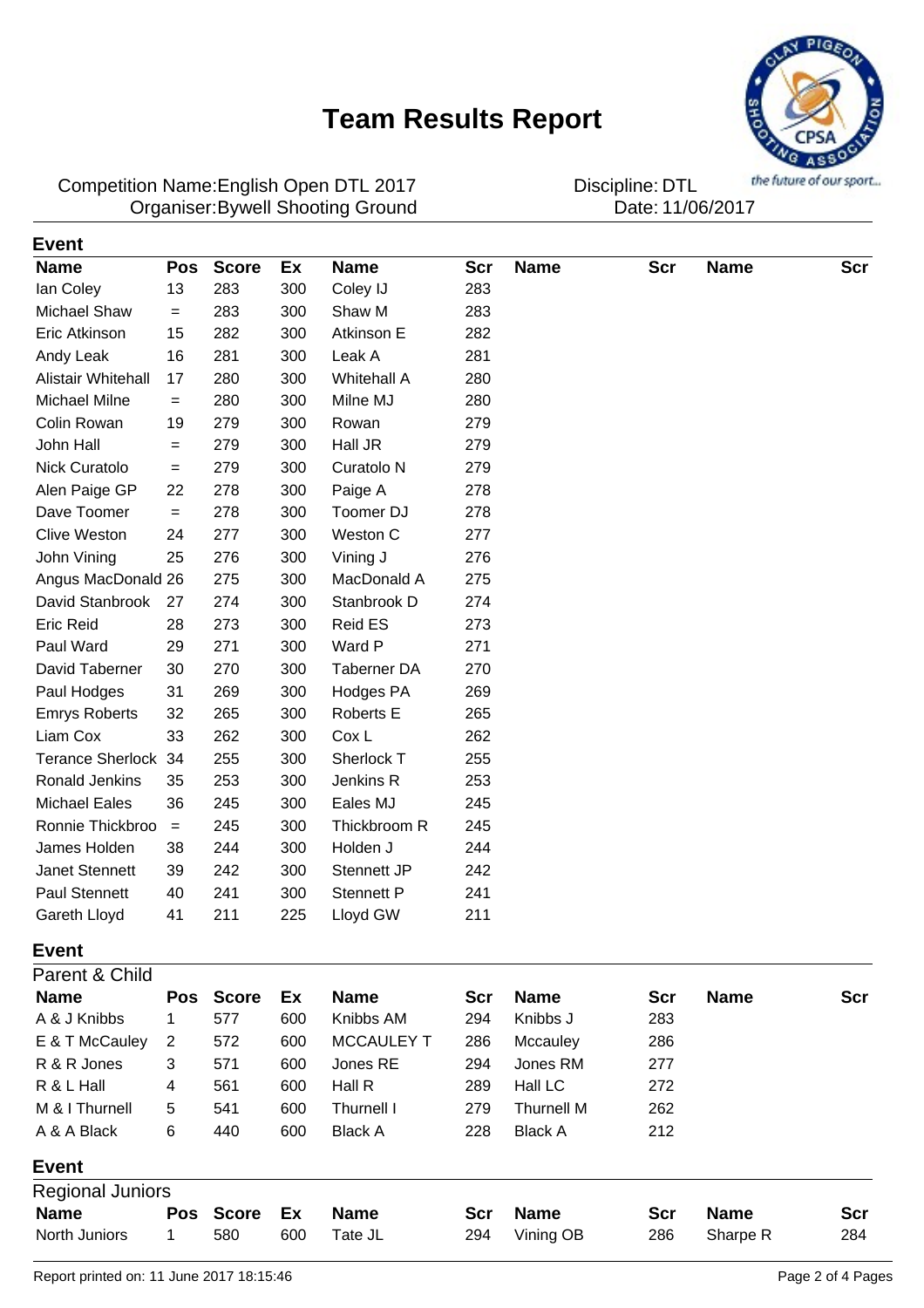

Competition Name:English Open DTL 2017 **Discipline**: DTL Organiser:Bywell Shooting Ground **1200 COV COVER 11/06/2017** 

| Event                   |            |              |     |                       |     |                   |            |             |            |
|-------------------------|------------|--------------|-----|-----------------------|-----|-------------------|------------|-------------|------------|
| <b>Name</b>             | <b>Pos</b> | <b>Score</b> | Ex  | <b>Name</b>           | Scr | <b>Name</b>       | <b>Scr</b> | <b>Name</b> | <b>Scr</b> |
| lan Coley               | 13         | 283          | 300 | Coley IJ              | 283 |                   |            |             |            |
| <b>Michael Shaw</b>     | $=$        | 283          | 300 | Shaw M                | 283 |                   |            |             |            |
| Eric Atkinson           | 15         | 282          | 300 | Atkinson E            | 282 |                   |            |             |            |
| Andy Leak               | 16         | 281          | 300 | Leak A                | 281 |                   |            |             |            |
| Alistair Whitehall      | 17         | 280          | 300 | <b>Whitehall A</b>    | 280 |                   |            |             |            |
| Michael Milne           | $=$        | 280          | 300 | Milne MJ              | 280 |                   |            |             |            |
| Colin Rowan             | 19         | 279          | 300 | Rowan                 | 279 |                   |            |             |            |
| John Hall               | $=$        | 279          | 300 | Hall JR               | 279 |                   |            |             |            |
| Nick Curatolo           | $=$        | 279          | 300 | Curatolo <sub>N</sub> | 279 |                   |            |             |            |
| Alen Paige GP           | 22         | 278          | 300 | Paige A               | 278 |                   |            |             |            |
| Dave Toomer             | $=$        | 278          | 300 | Toomer DJ             | 278 |                   |            |             |            |
| <b>Clive Weston</b>     | 24         | 277          | 300 | Weston C              | 277 |                   |            |             |            |
| John Vining             | 25         | 276          | 300 | Vining J              | 276 |                   |            |             |            |
| Angus MacDonald 26      |            | 275          | 300 | MacDonald A           | 275 |                   |            |             |            |
| David Stanbrook         | 27         | 274          | 300 | Stanbrook D           | 274 |                   |            |             |            |
| <b>Eric Reid</b>        | 28         | 273          | 300 | <b>Reid ES</b>        | 273 |                   |            |             |            |
| Paul Ward               | 29         | 271          | 300 | Ward P                | 271 |                   |            |             |            |
| David Taberner          | 30         | 270          | 300 | <b>Taberner DA</b>    | 270 |                   |            |             |            |
| Paul Hodges             | 31         | 269          | 300 | Hodges PA             | 269 |                   |            |             |            |
| <b>Emrys Roberts</b>    | 32         | 265          | 300 | Roberts E             | 265 |                   |            |             |            |
| Liam Cox                | 33         | 262          | 300 | Cox L                 | 262 |                   |            |             |            |
| Terance Sherlock 34     |            | 255          | 300 | Sherlock T            | 255 |                   |            |             |            |
| <b>Ronald Jenkins</b>   | 35         | 253          | 300 | Jenkins R             | 253 |                   |            |             |            |
| <b>Michael Eales</b>    | 36         | 245          | 300 | Eales MJ              | 245 |                   |            |             |            |
| Ronnie Thickbroo        | $\, =$     | 245          | 300 | Thickbroom R          | 245 |                   |            |             |            |
| James Holden            | 38         | 244          | 300 | Holden J              | 244 |                   |            |             |            |
| Janet Stennett          | 39         | 242          | 300 | Stennett JP           | 242 |                   |            |             |            |
| Paul Stennett           | 40         | 241          | 300 | <b>Stennett P</b>     | 241 |                   |            |             |            |
| Gareth Lloyd            | 41         | 211          | 225 | Lloyd GW              | 211 |                   |            |             |            |
| <b>Event</b>            |            |              |     |                       |     |                   |            |             |            |
| Parent & Child          |            |              |     |                       |     |                   |            |             |            |
| <b>Name</b>             | Pos        | <b>Score</b> | Ex  | <b>Name</b>           | Scr | <b>Name</b>       | <b>Scr</b> | <b>Name</b> | Scr        |
| A & J Knibbs            | 1          | 577          | 600 | Knibbs AM             | 294 | Knibbs J          | 283        |             |            |
| E & T McCauley          | 2          | 572          | 600 | <b>MCCAULEY T</b>     | 286 | Mccauley          | 286        |             |            |
| R & R Jones             | 3          | 571          | 600 | Jones RE              | 294 | Jones RM          | 277        |             |            |
| R & L Hall              | 4          | 561          | 600 | Hall R                | 289 | Hall LC           | 272        |             |            |
| M & I Thurnell          | 5          | 541          | 600 | Thurnell I            | 279 | <b>Thurnell M</b> | 262        |             |            |
| A & A Black             | 6          | 440          | 600 | <b>Black A</b>        | 228 | <b>Black A</b>    | 212        |             |            |
| <b>Event</b>            |            |              |     |                       |     |                   |            |             |            |
| <b>Regional Juniors</b> |            |              |     |                       |     |                   |            |             |            |
| <b>Name</b>             | <b>Pos</b> | <b>Score</b> | Ex  | <b>Name</b>           | Scr | <b>Name</b>       | <b>Scr</b> | <b>Name</b> | <b>Scr</b> |
| North Juniors           | 1          | 580          | 600 | Tate JL               | 294 | Vining OB         | 286        | Sharpe R    | 284        |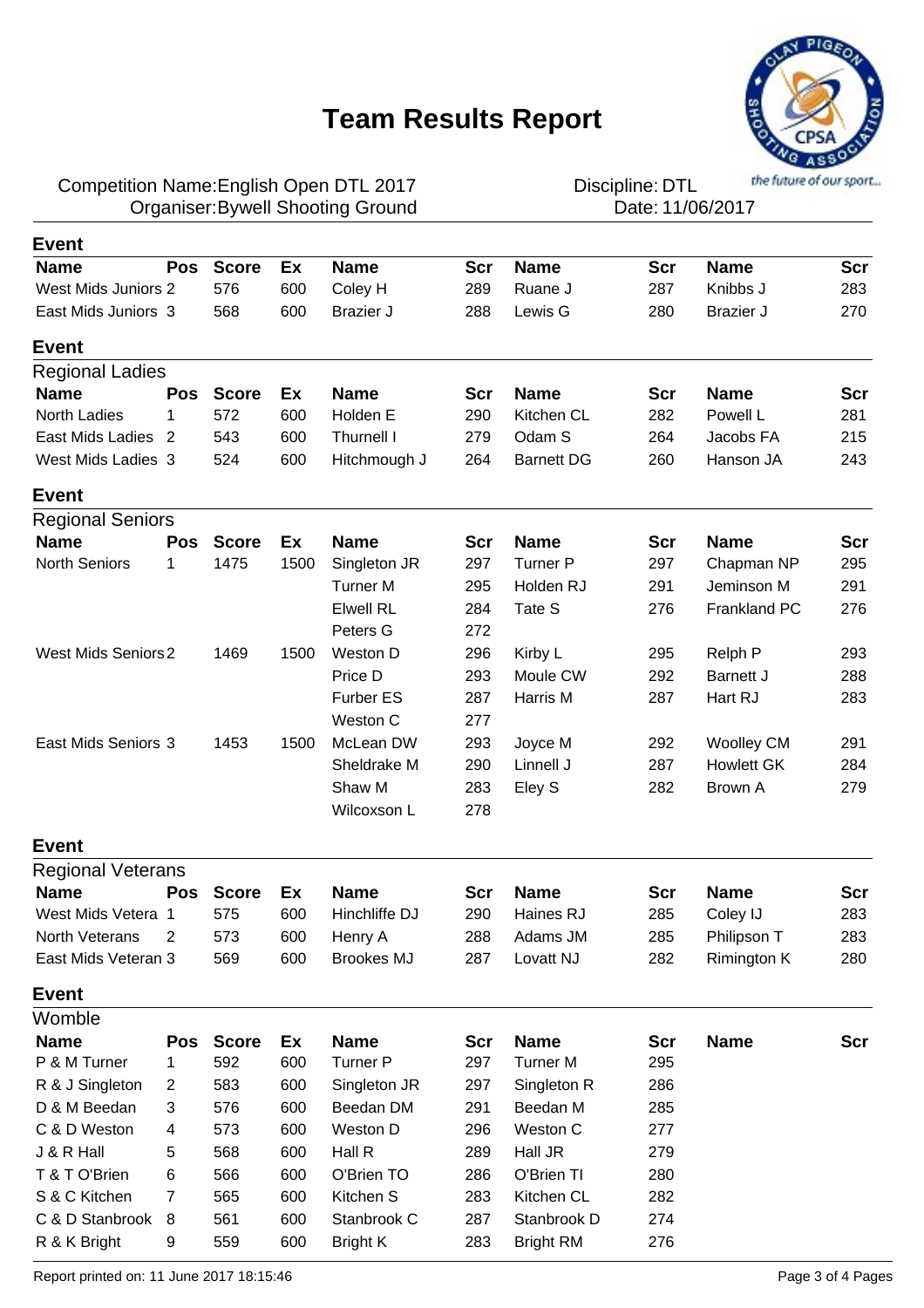

### Competition Name:English Open DTL 2017 **Discipline**: DTL Organiser:Bywell Shooting Ground **1200 COV COVER 11/06/2017**

| <b>Event</b>               |                |              |      |                   |            |                   |     |                   |            |
|----------------------------|----------------|--------------|------|-------------------|------------|-------------------|-----|-------------------|------------|
| <b>Name</b>                | <b>Pos</b>     | <b>Score</b> | Ex   | <b>Name</b>       | Scr        | <b>Name</b>       | Scr | <b>Name</b>       | Scr        |
| <b>West Mids Juniors 2</b> |                | 576          | 600  | Coley H           | 289        | Ruane J           | 287 | Knibbs J          | 283        |
| East Mids Juniors 3        |                | 568          | 600  | <b>Brazier J</b>  | 288        | Lewis G           | 280 | Brazier J         | 270        |
| <b>Event</b>               |                |              |      |                   |            |                   |     |                   |            |
| <b>Regional Ladies</b>     |                |              |      |                   |            |                   |     |                   |            |
| <b>Name</b>                | <b>Pos</b>     | <b>Score</b> | Ex   | <b>Name</b>       | <b>Scr</b> | <b>Name</b>       | Scr | <b>Name</b>       | <b>Scr</b> |
| <b>North Ladies</b>        | 1              | 572          | 600  | Holden E          | 290        | Kitchen CL        | 282 | Powell L          | 281        |
| East Mids Ladies           | 2              | 543          | 600  | Thurnell I        | 279        | Odam S            | 264 | Jacobs FA         | 215        |
| West Mids Ladies 3         |                | 524          | 600  | Hitchmough J      | 264        | <b>Barnett DG</b> | 260 | Hanson JA         | 243        |
| <b>Event</b>               |                |              |      |                   |            |                   |     |                   |            |
| <b>Regional Seniors</b>    |                |              |      |                   |            |                   |     |                   |            |
| <b>Name</b>                | Pos            | <b>Score</b> | Ex   | <b>Name</b>       | Scr        | <b>Name</b>       | Scr | <b>Name</b>       | <b>Scr</b> |
| <b>North Seniors</b>       | 1              | 1475         | 1500 | Singleton JR      | 297        | Turner P          | 297 | Chapman NP        | 295        |
|                            |                |              |      | <b>Turner M</b>   | 295        | Holden RJ         | 291 | Jeminson M        | 291        |
|                            |                |              |      | <b>Elwell RL</b>  | 284        | Tate S            | 276 | Frankland PC      | 276        |
|                            |                |              |      | Peters G          | 272        |                   |     |                   |            |
| <b>West Mids Seniors 2</b> |                | 1469         | 1500 | Weston D          | 296        | Kirby L           | 295 | Relph P           | 293        |
|                            |                |              |      | Price D           | 293        | Moule CW          | 292 | Barnett J         | 288        |
|                            |                |              |      | <b>Furber ES</b>  | 287        | Harris M          | 287 | Hart RJ           | 283        |
|                            |                |              |      | Weston C          | 277        |                   |     |                   |            |
| East Mids Seniors 3        |                | 1453         | 1500 | McLean DW         | 293        | Joyce M           | 292 | <b>Woolley CM</b> | 291        |
|                            |                |              |      | Sheldrake M       | 290        | Linnell J         | 287 | <b>Howlett GK</b> | 284        |
|                            |                |              |      | Shaw M            | 283        | Eley S            | 282 | Brown A           | 279        |
|                            |                |              |      | Wilcoxson L       | 278        |                   |     |                   |            |
| <b>Event</b>               |                |              |      |                   |            |                   |     |                   |            |
| <b>Regional Veterans</b>   |                |              |      |                   |            |                   |     |                   |            |
| <b>Name</b>                | <b>Pos</b>     | <b>Score</b> | Ex   | <b>Name</b>       | Scr        | <b>Name</b>       | Scr | <b>Name</b>       | Scr        |
| West Mids Vetera 1         |                | 575          | 600  | Hinchliffe DJ     | 290        | Haines RJ         | 285 | Coley IJ          | 283        |
| North Veterans             | 2              | 573          | 600  | Henry A           | 288        | Adams JM          | 285 | Philipson T       | 283        |
| East Mids Veteran 3        |                | 569          | 600  | <b>Brookes MJ</b> | 287        | Lovatt NJ         | 282 | Rimington K       | 280        |
| <b>Event</b>               |                |              |      |                   |            |                   |     |                   |            |
| Womble                     |                |              |      |                   |            |                   |     |                   |            |
| <b>Name</b>                | Pos            | <b>Score</b> | Ex   | <b>Name</b>       | Scr        | <b>Name</b>       | Scr | <b>Name</b>       | <b>Scr</b> |
| P & M Turner               | 1              | 592          | 600  | Turner P          | 297        | <b>Turner M</b>   | 295 |                   |            |
| R & J Singleton            | $\overline{2}$ | 583          | 600  | Singleton JR      | 297        | Singleton R       | 286 |                   |            |
| D & M Beedan               | 3              | 576          | 600  | Beedan DM         | 291        | Beedan M          | 285 |                   |            |
| C & D Weston               | 4              | 573          | 600  | Weston D          | 296        | Weston C          | 277 |                   |            |
| J & R Hall                 | 5              | 568          | 600  | Hall R            | 289        | Hall JR           | 279 |                   |            |
| T & T O'Brien              | 6              | 566          | 600  | O'Brien TO        | 286        | O'Brien TI        | 280 |                   |            |
| S & C Kitchen              | 7              | 565          | 600  | Kitchen S         | 283        | Kitchen CL        | 282 |                   |            |
| C & D Stanbrook            | 8              | 561          | 600  | Stanbrook C       | 287        | Stanbrook D       | 274 |                   |            |
| R & K Bright               | 9              | 559          | 600  | <b>Bright K</b>   | 283        | <b>Bright RM</b>  | 276 |                   |            |